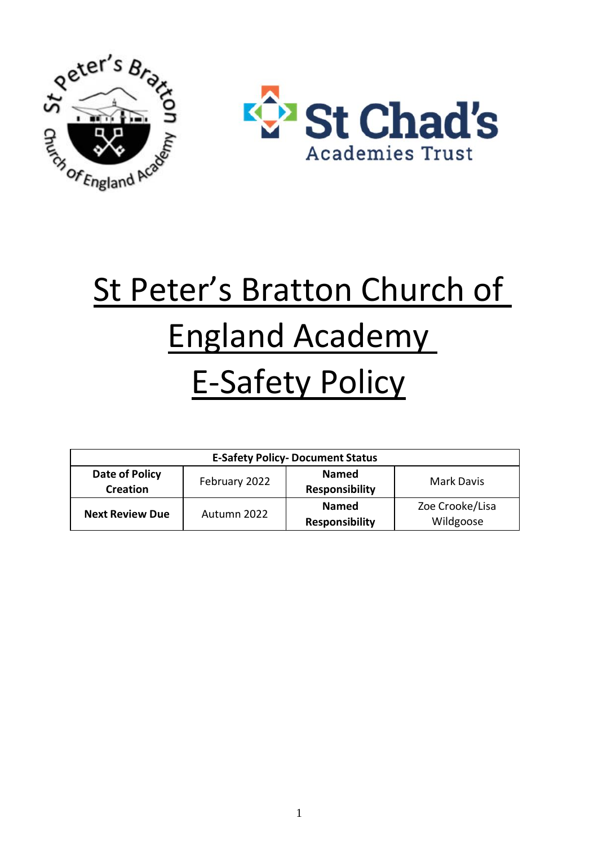

# St Peter's Bratton Church of England Academy E-Safety Policy

| <b>E-Safety Policy- Document Status</b> |               |                       |                   |  |
|-----------------------------------------|---------------|-----------------------|-------------------|--|
| Date of Policy                          | February 2022 | <b>Named</b>          | <b>Mark Davis</b> |  |
| <b>Creation</b>                         |               | <b>Responsibility</b> |                   |  |
| <b>Next Review Due</b>                  | Autumn 2022   | <b>Named</b>          | Zoe Crooke/Lisa   |  |
|                                         |               | <b>Responsibility</b> | Wildgoose         |  |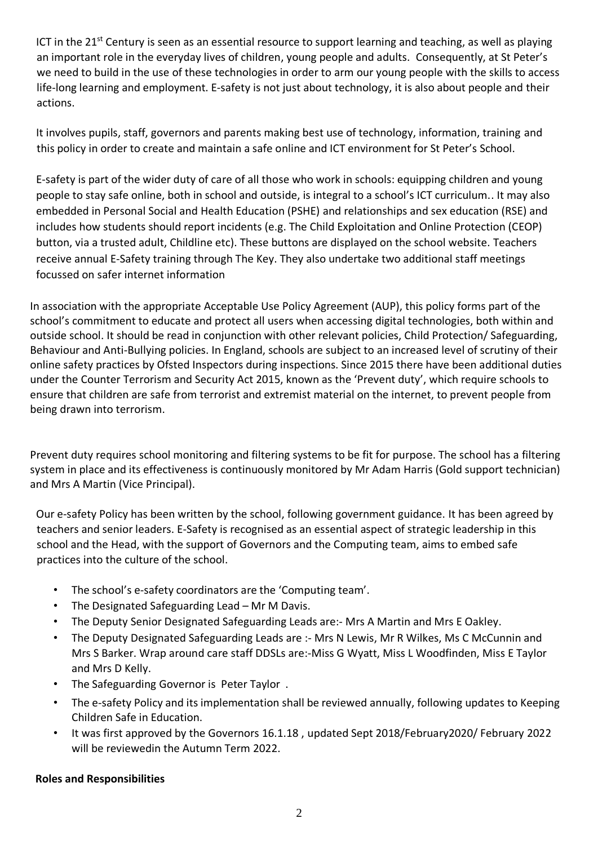ICT in the 21<sup>st</sup> Century is seen as an essential resource to support learning and teaching, as well as playing an important role in the everyday lives of children, young people and adults. Consequently, at St Peter's we need to build in the use of these technologies in order to arm our young people with the skills to access life-long learning and employment. E-safety is not just about technology, it is also about people and their actions.

It involves pupils, staff, governors and parents making best use of technology, information, training and this policy in order to create and maintain a safe online and ICT environment for St Peter's School.

E-safety is part of the wider duty of care of all those who work in schools: equipping children and young people to stay safe online, both in school and outside, is integral to a school's ICT curriculum.. It may also embedded in Personal Social and Health Education (PSHE) and relationships and sex education (RSE) and includes how students should report incidents (e.g. The Child Exploitation and Online Protection (CEOP) button, via a trusted adult, Childline etc). These buttons are displayed on the school website. Teachers receive annual E-Safety training through The Key. They also undertake two additional staff meetings focussed on safer internet information

In association with the appropriate Acceptable Use Policy Agreement (AUP), this policy forms part of the school's commitment to educate and protect all users when accessing digital technologies, both within and outside school. It should be read in conjunction with other relevant policies, Child Protection/ Safeguarding, Behaviour and Anti-Bullying policies. In England, schools are subject to an increased level of scrutiny of their online safety practices by Ofsted Inspectors during inspections. Since 2015 there have been additional duties under the Counter Terrorism and Security Act 2015, known as the 'Prevent duty', which require schools to ensure that children are safe from terrorist and extremist material on the internet, to prevent people from being drawn into terrorism.

Prevent duty requires school monitoring and filtering systems to be fit for purpose. The school has a filtering system in place and its effectiveness is continuously monitored by Mr Adam Harris (Gold support technician) and Mrs A Martin (Vice Principal).

Our e-safety Policy has been written by the school, following government guidance. It has been agreed by teachers and senior leaders. E-Safety is recognised as an essential aspect of strategic leadership in this school and the Head, with the support of Governors and the Computing team, aims to embed safe practices into the culture of the school.

- The school's e-safety coordinators are the 'Computing team'.
- The Designated Safeguarding Lead Mr M Davis.
- The Deputy Senior Designated Safeguarding Leads are:- Mrs A Martin and Mrs E Oakley.
- The Deputy Designated Safeguarding Leads are :- Mrs N Lewis, Mr R Wilkes, Ms C McCunnin and Mrs S Barker. Wrap around care staff DDSLs are:-Miss G Wyatt, Miss L Woodfinden, Miss E Taylor and Mrs D Kelly.
- The Safeguarding Governor is Peter Taylor .
- The e-safety Policy and its implementation shall be reviewed annually, following updates to Keeping Children Safe in Education.
- It was first approved by the Governors 16.1.18 , updated Sept 2018/February2020/ February 2022 will be reviewedin the Autumn Term 2022.

# **Roles and Responsibilities**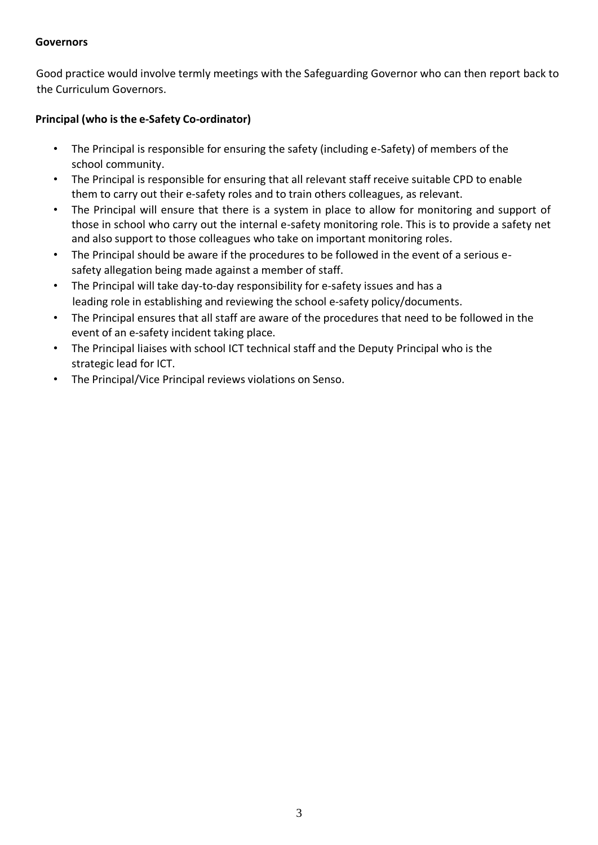#### **Governors**

Good practice would involve termly meetings with the Safeguarding Governor who can then report back to the Curriculum Governors.

## **Principal (who is the e-Safety Co-ordinator)**

- The Principal is responsible for ensuring the safety (including e-Safety) of members of the school community.
- The Principal is responsible for ensuring that all relevant staff receive suitable CPD to enable them to carry out their e-safety roles and to train others colleagues, as relevant.
- The Principal will ensure that there is a system in place to allow for monitoring and support of those in school who carry out the internal e-safety monitoring role. This is to provide a safety net and also support to those colleagues who take on important monitoring roles.
- The Principal should be aware if the procedures to be followed in the event of a serious esafety allegation being made against a member of staff.
- The Principal will take day-to-day responsibility for e-safety issues and has a leading role in establishing and reviewing the school e-safety policy/documents.
- The Principal ensures that all staff are aware of the procedures that need to be followed in the event of an e-safety incident taking place.
- The Principal liaises with school ICT technical staff and the Deputy Principal who is the strategic lead for ICT.
- The Principal/Vice Principal reviews violations on Senso.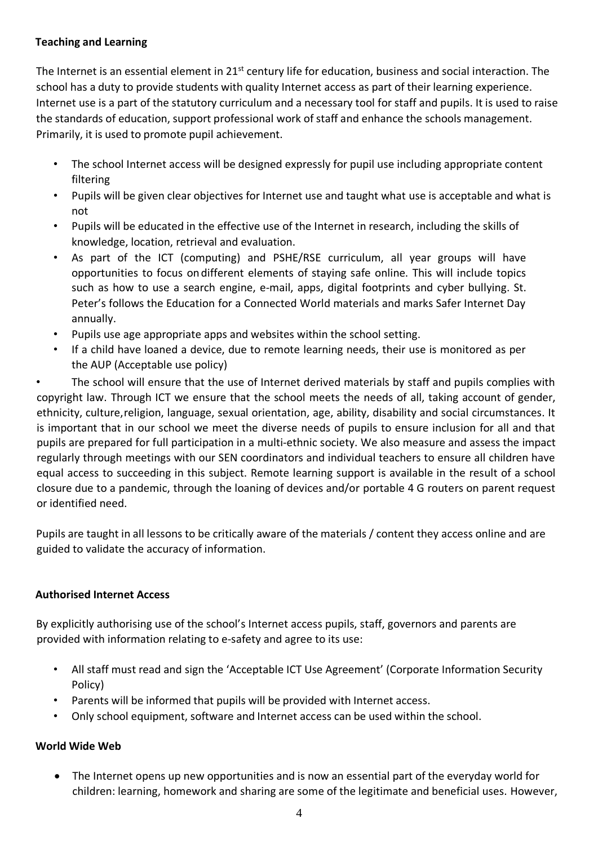## **Teaching and Learning**

The Internet is an essential element in 21<sup>st</sup> century life for education, business and social interaction. The school has a duty to provide students with quality Internet access as part of their learning experience. Internet use is a part of the statutory curriculum and a necessary tool for staff and pupils. It is used to raise the standards of education, support professional work of staff and enhance the schools management. Primarily, it is used to promote pupil achievement.

- The school Internet access will be designed expressly for pupil use including appropriate content filtering
- Pupils will be given clear objectives for Internet use and taught what use is acceptable and what is not
- Pupils will be educated in the effective use of the Internet in research, including the skills of knowledge, location, retrieval and evaluation.
- As part of the ICT (computing) and PSHE/RSE curriculum, all year groups will have opportunities to focus ondifferent elements of staying safe online. This will include topics such as how to use a search engine, e-mail, apps, digital footprints and cyber bullying. St. Peter's follows the Education for a Connected World materials and marks Safer Internet Day annually.
- Pupils use age appropriate apps and websites within the school setting.
- If a child have loaned a device, due to remote learning needs, their use is monitored as per the AUP (Acceptable use policy)

The school will ensure that the use of Internet derived materials by staff and pupils complies with copyright law. Through ICT we ensure that the school meets the needs of all, taking account of gender, ethnicity, culture,religion, language, sexual orientation, age, ability, disability and social circumstances. It is important that in our school we meet the diverse needs of pupils to ensure inclusion for all and that pupils are prepared for full participation in a multi-ethnic society. We also measure and assess the impact regularly through meetings with our SEN coordinators and individual teachers to ensure all children have equal access to succeeding in this subject. Remote learning support is available in the result of a school closure due to a pandemic, through the loaning of devices and/or portable 4 G routers on parent request or identified need.

Pupils are taught in all lessons to be critically aware of the materials / content they access online and are guided to validate the accuracy of information.

## **Authorised Internet Access**

By explicitly authorising use of the school's Internet access pupils, staff, governors and parents are provided with information relating to e-safety and agree to its use:

- All staff must read and sign the 'Acceptable ICT Use Agreement' (Corporate Information Security Policy)
- Parents will be informed that pupils will be provided with Internet access.
- Only school equipment, software and Internet access can be used within the school.

## **World Wide Web**

• The Internet opens up new opportunities and is now an essential part of the everyday world for children: learning, homework and sharing are some of the legitimate and beneficial uses. However,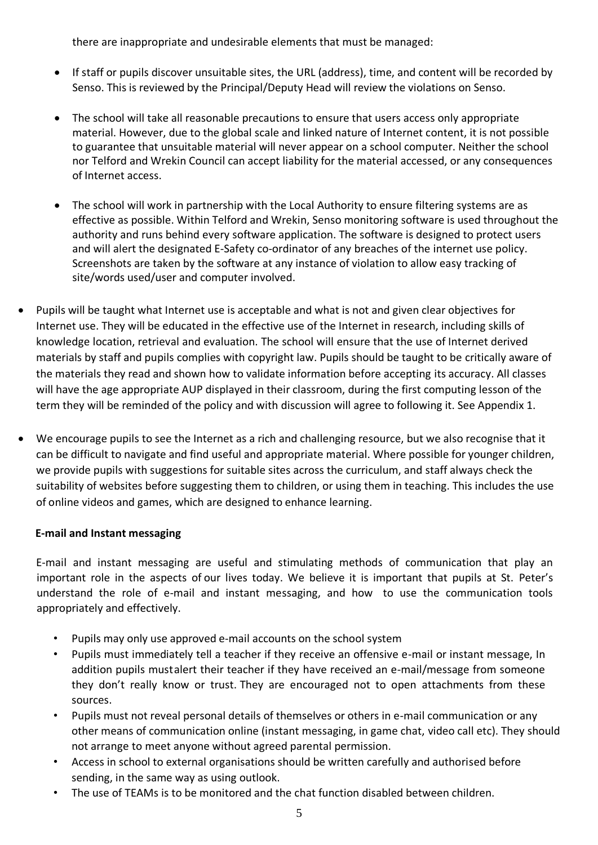there are inappropriate and undesirable elements that must be managed:

- If staff or pupils discover unsuitable sites, the URL (address), time, and content will be recorded by Senso. This is reviewed by the Principal/Deputy Head will review the violations on Senso.
- The school will take all reasonable precautions to ensure that users access only appropriate material. However, due to the global scale and linked nature of Internet content, it is not possible to guarantee that unsuitable material will never appear on a school computer. Neither the school nor Telford and Wrekin Council can accept liability for the material accessed, or any consequences of Internet access.
- The school will work in partnership with the Local Authority to ensure filtering systems are as effective as possible. Within Telford and Wrekin, Senso monitoring software is used throughout the authority and runs behind every software application. The software is designed to protect users and will alert the designated E-Safety co-ordinator of any breaches of the internet use policy. Screenshots are taken by the software at any instance of violation to allow easy tracking of site/words used/user and computer involved.
- Pupils will be taught what Internet use is acceptable and what is not and given clear objectives for Internet use. They will be educated in the effective use of the Internet in research, including skills of knowledge location, retrieval and evaluation. The school will ensure that the use of Internet derived materials by staff and pupils complies with copyright law. Pupils should be taught to be critically aware of the materials they read and shown how to validate information before accepting its accuracy. All classes will have the age appropriate AUP displayed in their classroom, during the first computing lesson of the term they will be reminded of the policy and with discussion will agree to following it. See Appendix 1.
- We encourage pupils to see the Internet as a rich and challenging resource, but we also recognise that it can be difficult to navigate and find useful and appropriate material. Where possible for younger children, we provide pupils with suggestions for suitable sites across the curriculum, and staff always check the suitability of websites before suggesting them to children, or using them in teaching. This includes the use of online videos and games, which are designed to enhance learning.

## **E-mail and Instant messaging**

E-mail and instant messaging are useful and stimulating methods of communication that play an important role in the aspects of our lives today. We believe it is important that pupils at St. Peter's understand the role of e-mail and instant messaging, and how to use the communication tools appropriately and effectively.

- Pupils may only use approved e-mail accounts on the school system
- Pupils must immediately tell a teacher if they receive an offensive e-mail or instant message, In addition pupils mustalert their teacher if they have received an e-mail/message from someone they don't really know or trust. They are encouraged not to open attachments from these sources.
- Pupils must not reveal personal details of themselves or others in e-mail communication or any other means of communication online (instant messaging, in game chat, video call etc). They should not arrange to meet anyone without agreed parental permission.
- Access in school to external organisations should be written carefully and authorised before sending, in the same way as using outlook.
- The use of TEAMs is to be monitored and the chat function disabled between children.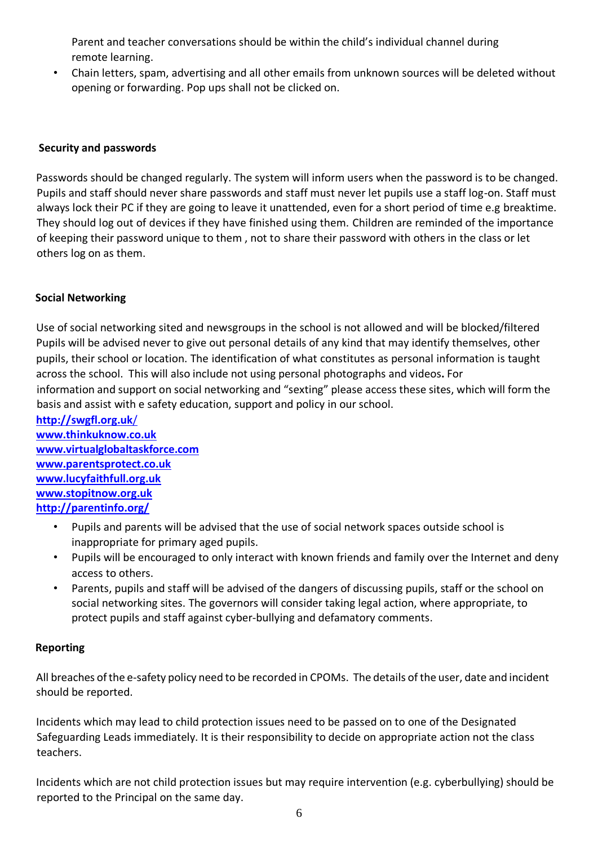Parent and teacher conversations should be within the child's individual channel during remote learning.

• Chain letters, spam, advertising and all other emails from unknown sources will be deleted without opening or forwarding. Pop ups shall not be clicked on.

## **Security and passwords**

Passwords should be changed regularly. The system will inform users when the password is to be changed. Pupils and staff should never share passwords and staff must never let pupils use a staff log-on. Staff must always lock their PC if they are going to leave it unattended, even for a short period of time e.g breaktime. They should log out of devices if they have finished using them. Children are reminded of the importance of keeping their password unique to them , not to share their password with others in the class or let others log on as them.

#### **Social Networking**

Use of social networking sited and newsgroups in the school is not allowed and will be blocked/filtered Pupils will be advised never to give out personal details of any kind that may identify themselves, other pupils, their school or location. The identification of what constitutes as personal information is taught across the school. This will also include not using personal photographs and videos**.** For information and support on social networking and "sexting" please access these sites, which will form the basis and assist with e safety education, support and policy in our school.

- **[http://swgfl.org.uk](http://swgfl.org.uk/)**/ **[www.thinkuknow.co.uk](http://www.thinkuknow.co.uk/) [www.virtualglobaltaskforce.com](http://www.virtualglobaltaskforce.com/) [www.parentsprotect.co.uk](http://www.parentsprotect.co.uk/) [www.lucyfaithfull.org.uk](http://www.lucyfaithfull.org.uk/) [www.stopitnow.org.uk](file:///C:/Users/Clare.Smyrell/AppData/Local/Microsoft/Windows/INetCache/Content.Outlook/2E9R4MHR/www.stopitnow.org.uk) <http://parentinfo.org/>**
	- Pupils and parents will be advised that the use of social network spaces outside school is inappropriate for primary aged pupils.
	- Pupils will be encouraged to only interact with known friends and family over the Internet and deny access to others.
	- Parents, pupils and staff will be advised of the dangers of discussing pupils, staff or the school on social networking sites. The governors will consider taking legal action, where appropriate, to protect pupils and staff against cyber-bullying and defamatory comments.

## **Reporting**

All breaches ofthe e-safety policy need to be recorded in CPOMs. The details of the user, date and incident should be reported.

Incidents which may lead to child protection issues need to be passed on to one of the Designated Safeguarding Leads immediately. It is their responsibility to decide on appropriate action not the class teachers.

Incidents which are not child protection issues but may require intervention (e.g. cyberbullying) should be reported to the Principal on the same day.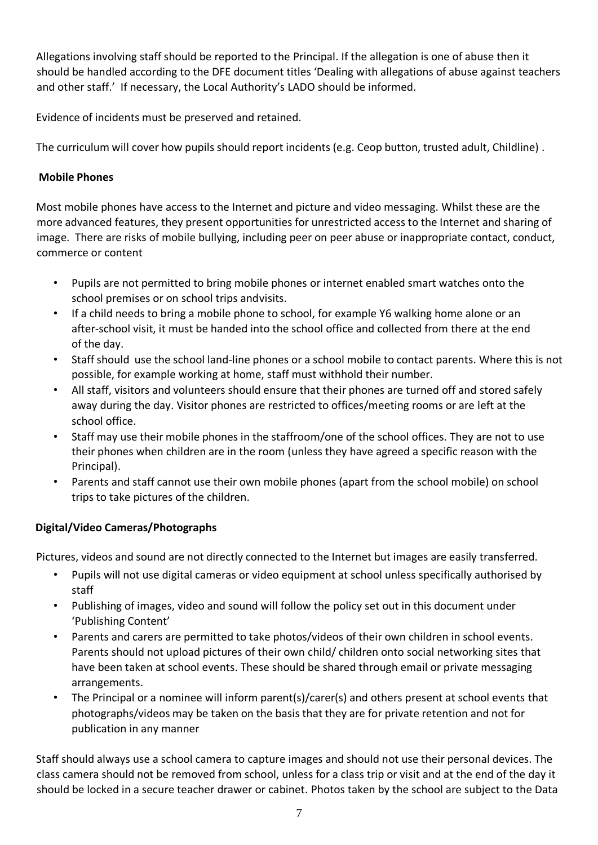Allegations involving staff should be reported to the Principal. If the allegation is one of abuse then it should be handled according to the DFE document titles 'Dealing with allegations of abuse against teachers and other staff.' If necessary, the Local Authority's LADO should be informed.

Evidence of incidents must be preserved and retained.

The curriculum will cover how pupils should report incidents (e.g. Ceop button, trusted adult, Childline) .

# **Mobile Phones**

Most mobile phones have access to the Internet and picture and video messaging. Whilst these are the more advanced features, they present opportunities for unrestricted access to the Internet and sharing of image. There are risks of mobile bullying, including peer on peer abuse or inappropriate contact, conduct, commerce or content

- Pupils are not permitted to bring mobile phones or internet enabled smart watches onto the school premises or on school trips andvisits.
- If a child needs to bring a mobile phone to school, for example Y6 walking home alone or an after-school visit, it must be handed into the school office and collected from there at the end of the day.
- Staff should use the school land-line phones or a school mobile to contact parents. Where this is not possible, for example working at home, staff must withhold their number.
- All staff, visitors and volunteers should ensure that their phones are turned off and stored safely away during the day. Visitor phones are restricted to offices/meeting rooms or are left at the school office.
- Staff may use their mobile phones in the staffroom/one of the school offices. They are not to use their phones when children are in the room (unless they have agreed a specific reason with the Principal).
- Parents and staff cannot use their own mobile phones (apart from the school mobile) on school trips to take pictures of the children.

# **Digital/Video Cameras/Photographs**

Pictures, videos and sound are not directly connected to the Internet but images are easily transferred.

- Pupils will not use digital cameras or video equipment at school unless specifically authorised by staff
- Publishing of images, video and sound will follow the policy set out in this document under 'Publishing Content'
- Parents and carers are permitted to take photos/videos of their own children in school events. Parents should not upload pictures of their own child/ children onto social networking sites that have been taken at school events. These should be shared through email or private messaging arrangements.
- The Principal or a nominee will inform parent(s)/carer(s) and others present at school events that photographs/videos may be taken on the basis that they are for private retention and not for publication in any manner

Staff should always use a school camera to capture images and should not use their personal devices. The class camera should not be removed from school, unless for a class trip or visit and at the end of the day it should be locked in a secure teacher drawer or cabinet. Photos taken by the school are subject to the Data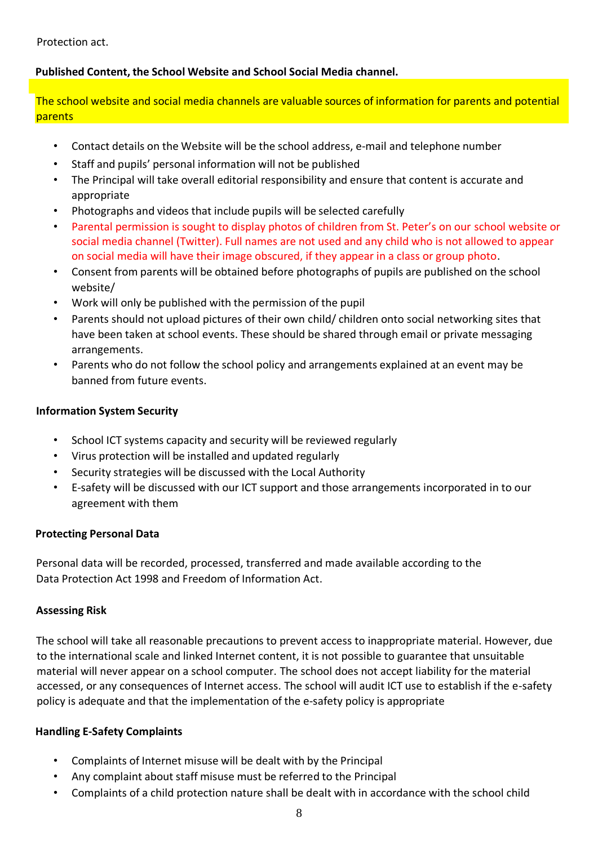Protection act.

## **Published Content, the School Website and School Social Media channel.**

The school website and social media channels are valuable sources of information for parents and potential parents

- Contact details on the Website will be the school address, e-mail and telephone number
- Staff and pupils' personal information will not be published
- The Principal will take overall editorial responsibility and ensure that content is accurate and appropriate
- Photographs and videos that include pupils will be selected carefully
- Parental permission is sought to display photos of children from St. Peter's on our school website or social media channel (Twitter). Full names are not used and any child who is not allowed to appear on social media will have their image obscured, if they appear in a class or group photo.
- Consent from parents will be obtained before photographs of pupils are published on the school website/
- Work will only be published with the permission of the pupil
- Parents should not upload pictures of their own child/ children onto social networking sites that have been taken at school events. These should be shared through email or private messaging arrangements.
- Parents who do not follow the school policy and arrangements explained at an event may be banned from future events.

## **Information System Security**

- School ICT systems capacity and security will be reviewed regularly
- Virus protection will be installed and updated regularly
- Security strategies will be discussed with the Local Authority
- E-safety will be discussed with our ICT support and those arrangements incorporated in to our agreement with them

## **Protecting Personal Data**

Personal data will be recorded, processed, transferred and made available according to the Data Protection Act 1998 and Freedom of Information Act.

## **Assessing Risk**

The school will take all reasonable precautions to prevent access to inappropriate material. However, due to the international scale and linked Internet content, it is not possible to guarantee that unsuitable material will never appear on a school computer. The school does not accept liability for the material accessed, or any consequences of Internet access. The school will audit ICT use to establish if the e-safety policy is adequate and that the implementation of the e-safety policy is appropriate

## **Handling E-Safety Complaints**

- Complaints of Internet misuse will be dealt with by the Principal
- Any complaint about staff misuse must be referred to the Principal
- Complaints of a child protection nature shall be dealt with in accordance with the school child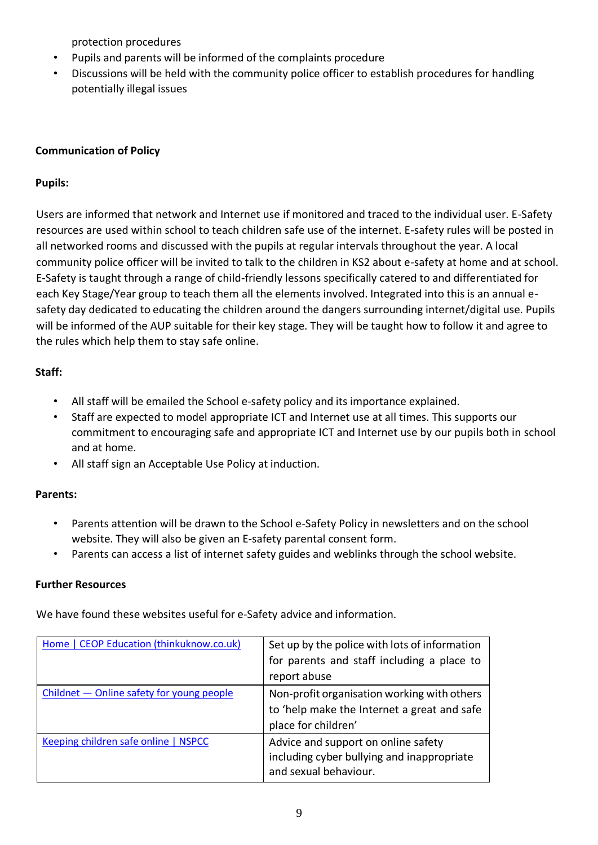protection procedures

- Pupils and parents will be informed of the complaints procedure
- Discussions will be held with the community police officer to establish procedures for handling potentially illegal issues

# **Communication of Policy**

# **Pupils:**

Users are informed that network and Internet use if monitored and traced to the individual user. E-Safety resources are used within school to teach children safe use of the internet. E-safety rules will be posted in all networked rooms and discussed with the pupils at regular intervals throughout the year. A local community police officer will be invited to talk to the children in KS2 about e-safety at home and at school. E-Safety is taught through a range of child-friendly lessons specifically catered to and differentiated for each Key Stage/Year group to teach them all the elements involved. Integrated into this is an annual esafety day dedicated to educating the children around the dangers surrounding internet/digital use. Pupils will be informed of the AUP suitable for their key stage. They will be taught how to follow it and agree to the rules which help them to stay safe online.

# **Staff:**

- All staff will be emailed the School e-safety policy and its importance explained.
- Staff are expected to model appropriate ICT and Internet use at all times. This supports our commitment to encouraging safe and appropriate ICT and Internet use by our pupils both in school and at home.
- All staff sign an Acceptable Use Policy at induction.

# **Parents:**

- Parents attention will be drawn to the School e-Safety Policy in newsletters and on the school website. They will also be given an E-safety parental consent form.
- Parents can access a list of internet safety guides and weblinks through the school website.

# **Further Resources**

We have found these websites useful for e-Safety advice and information.

| Home   CEOP Education (thinkuknow.co.uk)  | Set up by the police with lots of information |
|-------------------------------------------|-----------------------------------------------|
|                                           | for parents and staff including a place to    |
|                                           | report abuse                                  |
| Childnet - Online safety for young people | Non-profit organisation working with others   |
|                                           | to 'help make the Internet a great and safe   |
|                                           | place for children'                           |
| Keeping children safe online   NSPCC      | Advice and support on online safety           |
|                                           | including cyber bullying and inappropriate    |
|                                           | and sexual behaviour.                         |